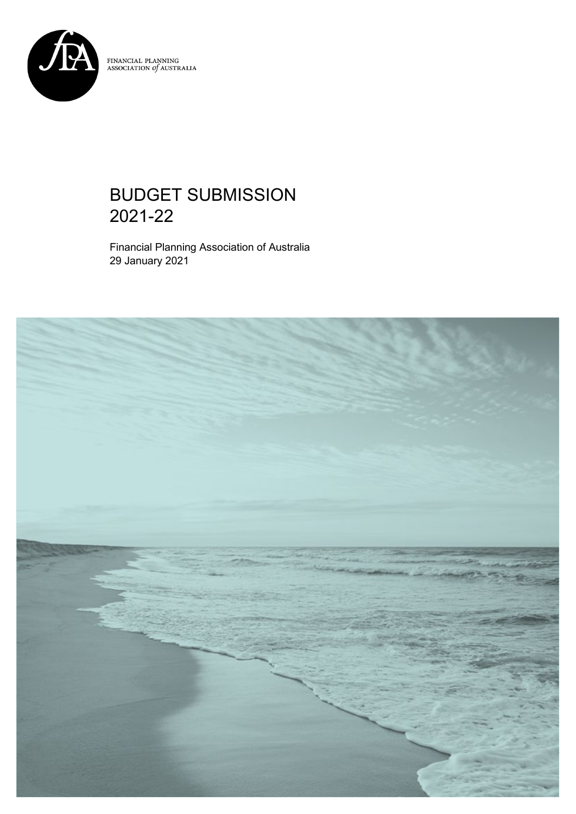

 $\begin{array}{ll} \textbf{FINANCIAL PLANNING} \\ \textbf{ASSOCIATION of AUSTRALIA} \end{array}$ 

# BUDGET SUBMISSION 2021-22

Financial Planning Association of Australia 29 January 2021

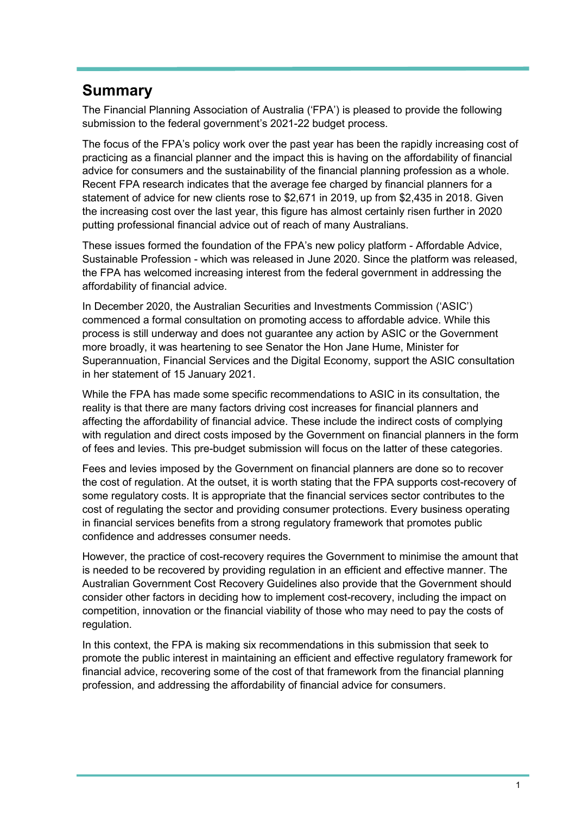# **Summary**

The Financial Planning Association of Australia ('FPA') is pleased to provide the following submission to the federal government's 2021-22 budget process.

The focus of the FPA's policy work over the past year has been the rapidly increasing cost of practicing as a financial planner and the impact this is having on the affordability of financial advice for consumers and the sustainability of the financial planning profession as a whole. Recent FPA research indicates that the average fee charged by financial planners for a statement of advice for new clients rose to \$2,671 in 2019, up from \$2,435 in 2018. Given the increasing cost over the last year, this figure has almost certainly risen further in 2020 putting professional financial advice out of reach of many Australians.

These issues formed the foundation of the FPA's new policy platform - Affordable Advice, Sustainable Profession - which was released in June 2020. Since the platform was released, the FPA has welcomed increasing interest from the federal government in addressing the affordability of financial advice.

In December 2020, the Australian Securities and Investments Commission ('ASIC') commenced a formal consultation on promoting access to affordable advice. While this process is still underway and does not guarantee any action by ASIC or the Government more broadly, it was heartening to see Senator the Hon Jane Hume, Minister for Superannuation, Financial Services and the Digital Economy, support the ASIC consultation in her statement of 15 January 2021.

While the FPA has made some specific recommendations to ASIC in its consultation, the reality is that there are many factors driving cost increases for financial planners and affecting the affordability of financial advice. These include the indirect costs of complying with regulation and direct costs imposed by the Government on financial planners in the form of fees and levies. This pre-budget submission will focus on the latter of these categories.

Fees and levies imposed by the Government on financial planners are done so to recover the cost of regulation. At the outset, it is worth stating that the FPA supports cost-recovery of some regulatory costs. It is appropriate that the financial services sector contributes to the cost of regulating the sector and providing consumer protections. Every business operating in financial services benefits from a strong regulatory framework that promotes public confidence and addresses consumer needs.

However, the practice of cost-recovery requires the Government to minimise the amount that is needed to be recovered by providing regulation in an efficient and effective manner. The Australian Government Cost Recovery Guidelines also provide that the Government should consider other factors in deciding how to implement cost-recovery, including the impact on competition, innovation or the financial viability of those who may need to pay the costs of regulation.

In this context, the FPA is making six recommendations in this submission that seek to promote the public interest in maintaining an efficient and effective regulatory framework for financial advice, recovering some of the cost of that framework from the financial planning profession, and addressing the affordability of financial advice for consumers.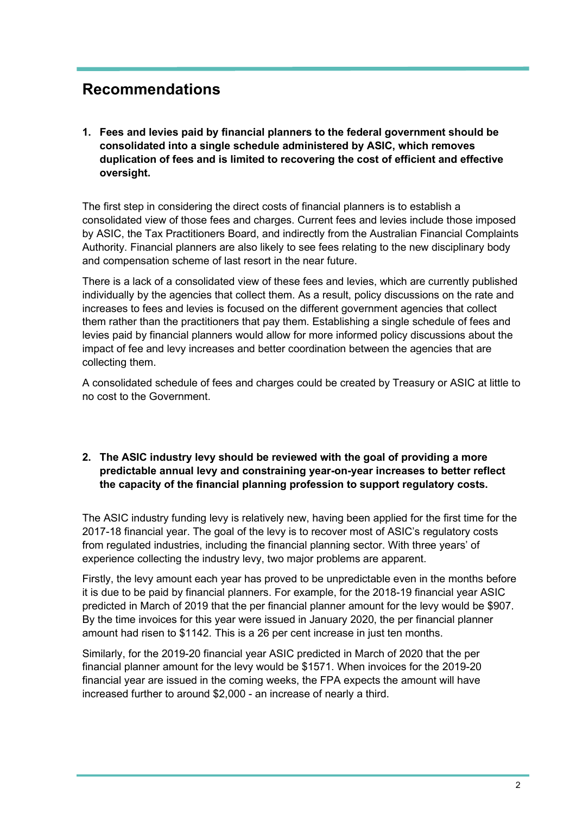## **Recommendations**

**1. Fees and levies paid by financial planners to the federal government should be consolidated into a single schedule administered by ASIC, which removes duplication of fees and is limited to recovering the cost of efficient and effective oversight.**

The first step in considering the direct costs of financial planners is to establish a consolidated view of those fees and charges. Current fees and levies include those imposed by ASIC, the Tax Practitioners Board, and indirectly from the Australian Financial Complaints Authority. Financial planners are also likely to see fees relating to the new disciplinary body and compensation scheme of last resort in the near future.

There is a lack of a consolidated view of these fees and levies, which are currently published individually by the agencies that collect them. As a result, policy discussions on the rate and increases to fees and levies is focused on the different government agencies that collect them rather than the practitioners that pay them. Establishing a single schedule of fees and levies paid by financial planners would allow for more informed policy discussions about the impact of fee and levy increases and better coordination between the agencies that are collecting them.

A consolidated schedule of fees and charges could be created by Treasury or ASIC at little to no cost to the Government.

#### **2. The ASIC industry levy should be reviewed with the goal of providing a more predictable annual levy and constraining year-on-year increases to better reflect the capacity of the financial planning profession to support regulatory costs.**

The ASIC industry funding levy is relatively new, having been applied for the first time for the 2017-18 financial year. The goal of the levy is to recover most of ASIC's regulatory costs from regulated industries, including the financial planning sector. With three years' of experience collecting the industry levy, two major problems are apparent.

Firstly, the levy amount each year has proved to be unpredictable even in the months before it is due to be paid by financial planners. For example, for the 2018-19 financial year ASIC predicted in March of 2019 that the per financial planner amount for the levy would be \$907. By the time invoices for this year were issued in January 2020, the per financial planner amount had risen to \$1142. This is a 26 per cent increase in just ten months.

Similarly, for the 2019-20 financial year ASIC predicted in March of 2020 that the per financial planner amount for the levy would be \$1571. When invoices for the 2019-20 financial year are issued in the coming weeks, the FPA expects the amount will have increased further to around \$2,000 - an increase of nearly a third.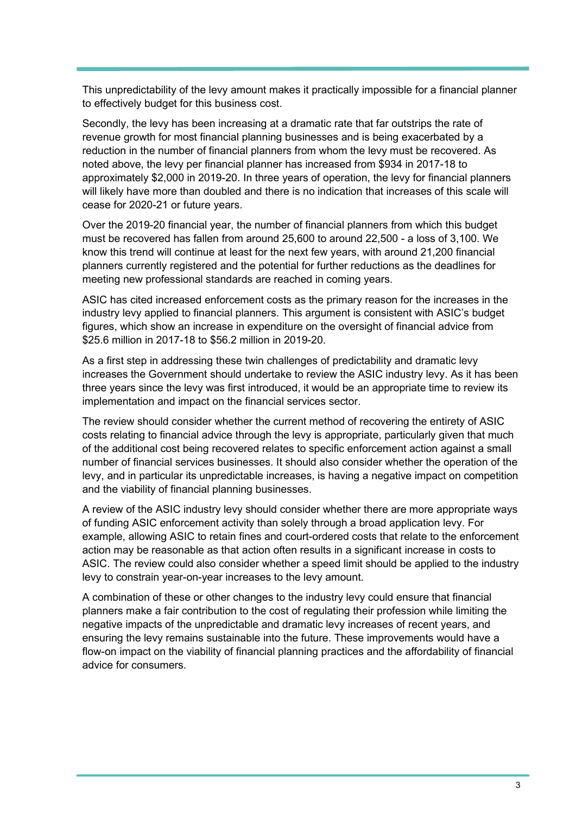This unpredictability of the levy amount makes it practically impossible for a financial planner to effectively budget for this business cost.

Secondly, the levy has been increasing at a dramatic rate that far outstrips the rate of revenue growth for most financial planning businesses and is being exacerbated by a reduction in the number of financial planners from whom the levy must be recovered. As noted above, the levy per financial planner has increased from \$934 in 2017-18 to approximately \$2,000 in 2019-20. In three years of operation, the levy for financial planners will likely have more than doubled and there is no indication that increases of this scale will cease for 2020-21 or future years.

Over the 2019-20 financial year, the number of financial planners from which this budget must be recovered has fallen from around 25,600 to around 22,500 - a loss of 3,100. We know this trend will continue at least for the next few years, with around 21,200 financial planners currently registered and the potential for further reductions as the deadlines for meeting new professional standards are reached in coming years.

ASIC has cited increased enforcement costs as the primary reason for the increases in the industry levy applied to financial planners. This argument is consistent with ASIC's budget figures, which show an increase in expenditure on the oversight of financial advice from \$25.6 million in 2017-18 to \$56.2 million in 2019-20.

As a first step in addressing these twin challenges of predictability and dramatic levy increases the Government should undertake to review the ASIC industry levy. As it has been three years since the levy was first introduced, it would be an appropriate time to review its implementation and impact on the financial services sector.

The review should consider whether the current method of recovering the entirety of ASIC costs relating to financial advice through the levy is appropriate, particularly given that much of the additional cost being recovered relates to specific enforcement action against a small number of financial services businesses. It should also consider whether the operation of the levy, and in particular its unpredictable increases, is having a negative impact on competition and the viability of financial planning businesses.

A review of the ASIC industry levy should consider whether there are more appropriate ways of funding ASIC enforcement activity than solely through a broad application levy. For example, allowing ASIC to retain fines and court-ordered costs that relate to the enforcement action may be reasonable as that action often results in a significant increase in costs to ASIC. The review could also consider whether a speed limit should be applied to the industry levy to constrain year-on-year increases to the levy amount.

A combination of these or other changes to the industry levy could ensure that financial planners make a fair contribution to the cost of regulating their profession while limiting the negative impacts of the unpredictable and dramatic levy increases of recent years, and ensuring the levy remains sustainable into the future. These improvements would have a flow-on impact on the viability of financial planning practices and the affordability of financial advice for consumers.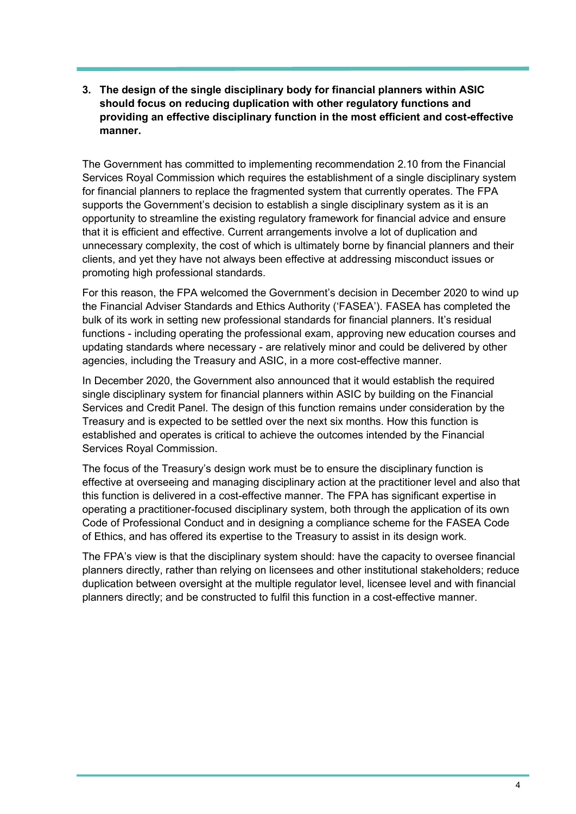#### **3. The design of the single disciplinary body for financial planners within ASIC should focus on reducing duplication with other regulatory functions and providing an effective disciplinary function in the most efficient and cost-effective manner.**

The Government has committed to implementing recommendation 2.10 from the Financial Services Royal Commission which requires the establishment of a single disciplinary system for financial planners to replace the fragmented system that currently operates. The FPA supports the Government's decision to establish a single disciplinary system as it is an opportunity to streamline the existing regulatory framework for financial advice and ensure that it is efficient and effective. Current arrangements involve a lot of duplication and unnecessary complexity, the cost of which is ultimately borne by financial planners and their clients, and yet they have not always been effective at addressing misconduct issues or promoting high professional standards.

For this reason, the FPA welcomed the Government's decision in December 2020 to wind up the Financial Adviser Standards and Ethics Authority ('FASEA'). FASEA has completed the bulk of its work in setting new professional standards for financial planners. It's residual functions - including operating the professional exam, approving new education courses and updating standards where necessary - are relatively minor and could be delivered by other agencies, including the Treasury and ASIC, in a more cost-effective manner.

In December 2020, the Government also announced that it would establish the required single disciplinary system for financial planners within ASIC by building on the Financial Services and Credit Panel. The design of this function remains under consideration by the Treasury and is expected to be settled over the next six months. How this function is established and operates is critical to achieve the outcomes intended by the Financial Services Royal Commission.

The focus of the Treasury's design work must be to ensure the disciplinary function is effective at overseeing and managing disciplinary action at the practitioner level and also that this function is delivered in a cost-effective manner. The FPA has significant expertise in operating a practitioner-focused disciplinary system, both through the application of its own Code of Professional Conduct and in designing a compliance scheme for the FASEA Code of Ethics, and has offered its expertise to the Treasury to assist in its design work.

The FPA's view is that the disciplinary system should: have the capacity to oversee financial planners directly, rather than relying on licensees and other institutional stakeholders; reduce duplication between oversight at the multiple regulator level, licensee level and with financial planners directly; and be constructed to fulfil this function in a cost-effective manner.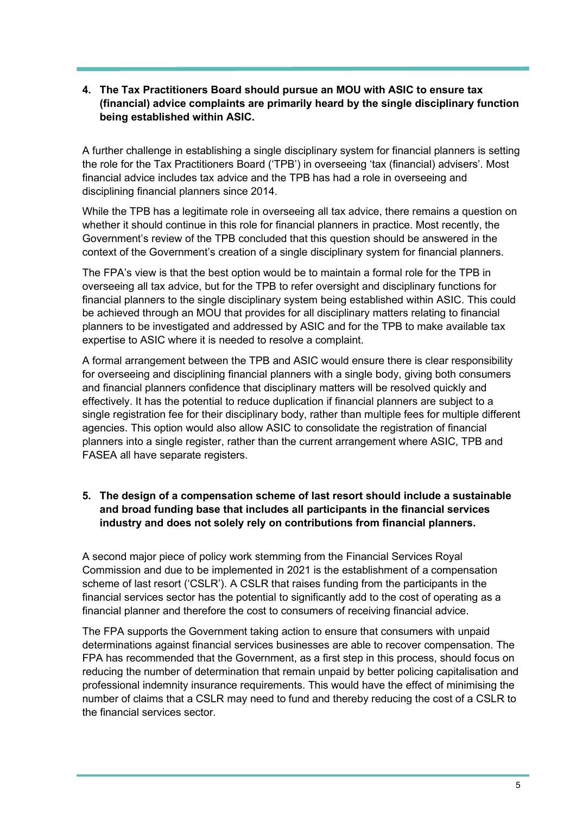#### **4. The Tax Practitioners Board should pursue an MOU with ASIC to ensure tax (financial) advice complaints are primarily heard by the single disciplinary function being established within ASIC.**

A further challenge in establishing a single disciplinary system for financial planners is setting the role for the Tax Practitioners Board ('TPB') in overseeing 'tax (financial) advisers'. Most financial advice includes tax advice and the TPB has had a role in overseeing and disciplining financial planners since 2014.

While the TPB has a legitimate role in overseeing all tax advice, there remains a question on whether it should continue in this role for financial planners in practice. Most recently, the Government's review of the TPB concluded that this question should be answered in the context of the Government's creation of a single disciplinary system for financial planners.

The FPA's view is that the best option would be to maintain a formal role for the TPB in overseeing all tax advice, but for the TPB to refer oversight and disciplinary functions for financial planners to the single disciplinary system being established within ASIC. This could be achieved through an MOU that provides for all disciplinary matters relating to financial planners to be investigated and addressed by ASIC and for the TPB to make available tax expertise to ASIC where it is needed to resolve a complaint.

A formal arrangement between the TPB and ASIC would ensure there is clear responsibility for overseeing and disciplining financial planners with a single body, giving both consumers and financial planners confidence that disciplinary matters will be resolved quickly and effectively. It has the potential to reduce duplication if financial planners are subject to a single registration fee for their disciplinary body, rather than multiple fees for multiple different agencies. This option would also allow ASIC to consolidate the registration of financial planners into a single register, rather than the current arrangement where ASIC, TPB and FASEA all have separate registers.

### **5. The design of a compensation scheme of last resort should include a sustainable and broad funding base that includes all participants in the financial services industry and does not solely rely on contributions from financial planners.**

A second major piece of policy work stemming from the Financial Services Royal Commission and due to be implemented in 2021 is the establishment of a compensation scheme of last resort ('CSLR'). A CSLR that raises funding from the participants in the financial services sector has the potential to significantly add to the cost of operating as a financial planner and therefore the cost to consumers of receiving financial advice.

The FPA supports the Government taking action to ensure that consumers with unpaid determinations against financial services businesses are able to recover compensation. The FPA has recommended that the Government, as a first step in this process, should focus on reducing the number of determination that remain unpaid by better policing capitalisation and professional indemnity insurance requirements. This would have the effect of minimising the number of claims that a CSLR may need to fund and thereby reducing the cost of a CSLR to the financial services sector.